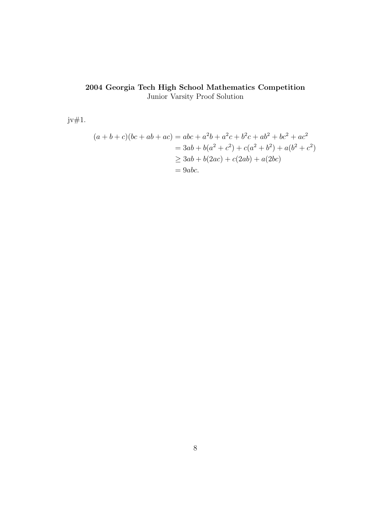jv $#1$ .

$$
(a+b+c)(bc+ab+ac) = abc+a^2b+a^2c+b^2c+ab^2+bc^2+ac^2
$$
  
= 3ab + b(a<sup>2</sup> + c<sup>2</sup>) + c(a<sup>2</sup> + b<sup>2</sup>) + a(b<sup>2</sup> + c<sup>2</sup>)  

$$
\geq 3ab + b(2ac) + c(2ab) + a(2bc)
$$
  
= 9abc.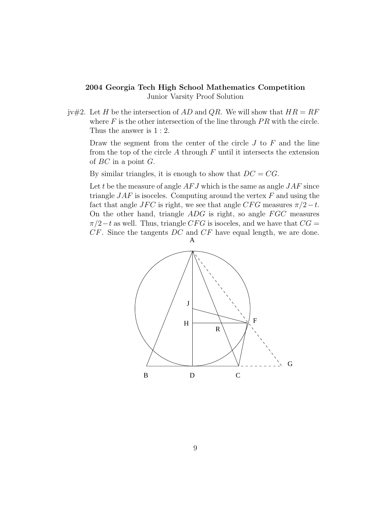jv#2. Let H be the intersection of AD and QR. We will show that  $HR = RF$ where  $F$  is the other intersection of the line through  $PR$  with the circle. Thus the answer is 1 : 2.

Draw the segment from the center of the circle  $J$  to  $F$  and the line from the top of the circle A through  $F$  until it intersects the extension of  $BC$  in a point  $G$ .

By similar triangles, it is enough to show that  $DC = CG$ .

Let t be the measure of angle  $AFJ$  which is the same as angle  $JAF$  since triangle  $JAF$  is isoceles. Computing around the vertex  $F$  and using the fact that angle JFC is right, we see that angle CFG measures  $\pi/2-t$ . On the other hand, triangle ADG is right, so angle FGC measures  $\pi/2-t$  as well. Thus, triangle CFG is isoceles, and we have that  $CG =$ CF. Since the tangents DC and CF have equal length, we are done.

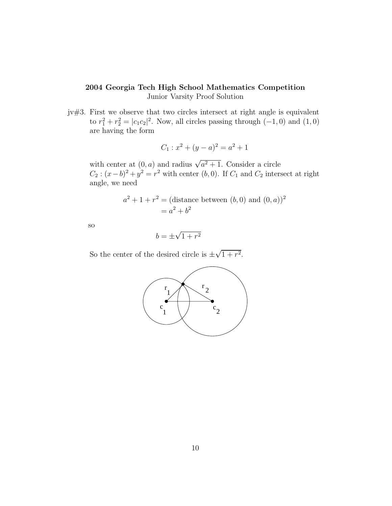jv#3. First we observe that two circles intersect at right angle is equivalent to  $r_1^2 + r_2^2 = |c_1 c_2|^2$ . Now, all circles passing through  $(-1, 0)$  and  $(1, 0)$ are having the form

$$
C_1: x^2 + (y - a)^2 = a^2 + 1
$$

with center at  $(0, a)$  and radius  $\sqrt{a^2 + 1}$ . Consider a circle  $C_2$ :  $(x - b)^2 + y^2 = r^2$  with center  $(b, 0)$ . If  $C_1$  and  $C_2$  intersect at right angle, we need

$$
a^{2} + 1 + r^{2} =
$$
 (distance between (b, 0) and (0, a))<sup>2</sup>  
=  $a^{2} + b^{2}$ 

so

$$
b = \pm \sqrt{1 + r^2}
$$

So the center of the desired circle is  $\pm\sqrt{1+r^2}$ .

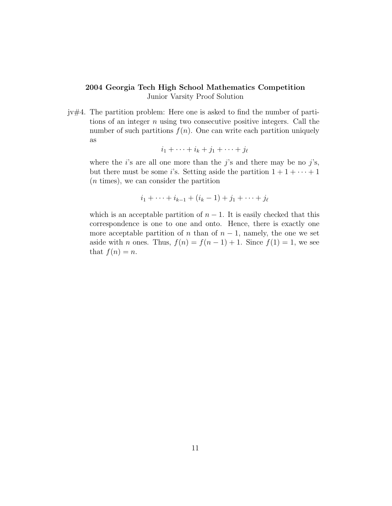jv#4. The partition problem: Here one is asked to find the number of partitions of an integer  $n$  using two consecutive positive integers. Call the number of such partitions  $f(n)$ . One can write each partition uniquely as

$$
i_1+\cdots+i_k+j_1+\cdots+j_\ell
$$

where the *i*'s are all one more than the *j*'s and there may be no *j*'s, but there must be some *i*'s. Setting aside the partition  $1 + 1 + \cdots + 1$ (n times), we can consider the partition

$$
i_1 + \dots + i_{k-1} + (i_k - 1) + j_1 + \dots + j_\ell
$$

which is an acceptable partition of  $n-1$ . It is easily checked that this correspondence is one to one and onto. Hence, there is exactly one more acceptable partition of n than of  $n-1$ , namely, the one we set aside with *n* ones. Thus,  $f(n) = f(n-1) + 1$ . Since  $f(1) = 1$ , we see that  $f(n) = n$ .